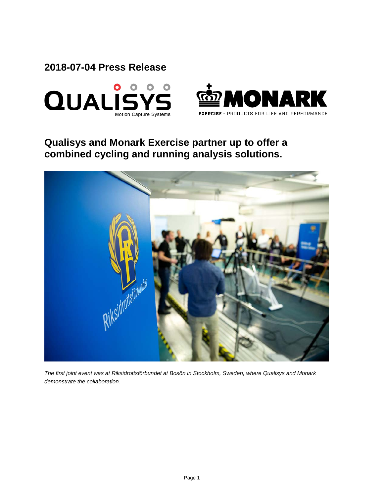**2018-07-04 Press Release**





# **Qualisys and Monark Exercise partner up to offer a combined cycling and running analysis solutions.**



*The first joint event was at Riksidrottsförbundet at Bosön in Stockholm, Sweden, where Qualisys and Monark demonstrate the collaboration.*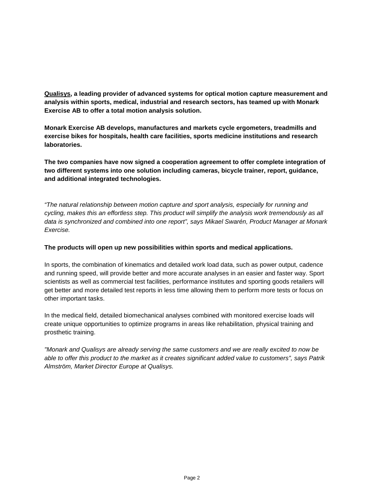**[Qualisys,](http://qualisys.com/) a leading provider of advanced systems for optical motion capture measurement and analysis within sports, medical, industrial and research sectors, has teamed up with Monark Exercise AB to offer a total motion analysis solution.**

**Monark Exercise AB develops, manufactures and markets cycle ergometers, treadmills and exercise bikes for hospitals, health care facilities, sports medicine institutions and research laboratories.** 

**The two companies have now signed a cooperation agreement to offer complete integration of two different systems into one solution including cameras, bicycle trainer, report, guidance, and additional integrated technologies.** 

*"The natural relationship between motion capture and sport analysis, especially for running and cycling, makes this an effortless step. This product will simplify the analysis work tremendously as all data is synchronized and combined into one report", says Mikael Swarén, Product Manager at Monark Exercise.*

## **The products will open up new possibilities within sports and medical applications.**

In sports, the combination of kinematics and detailed work load data, such as power output, cadence and running speed, will provide better and more accurate analyses in an easier and faster way. Sport scientists as well as commercial test facilities, performance institutes and sporting goods retailers will get better and more detailed test reports in less time allowing them to perform more tests or focus on other important tasks.

In the medical field, detailed biomechanical analyses combined with monitored exercise loads will create unique opportunities to optimize programs in areas like rehabilitation, physical training and prosthetic training.

*"Monark and Qualisys are already serving the same customers and we are really excited to now be able to offer this product to the market as it creates significant added value to customers", says Patrik Almström, Market Director Europe at Qualisys.*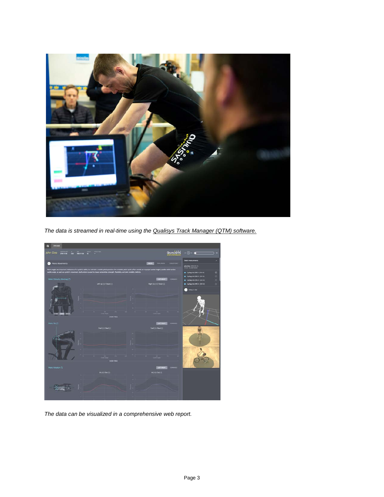

*The data is streamed in real-time using the [Qualisys Track Manager \(QTM\) software.](http://www.qualisys.com/software/qualisys-track-manager/)*



*The data can be visualized in a comprehensive web report.*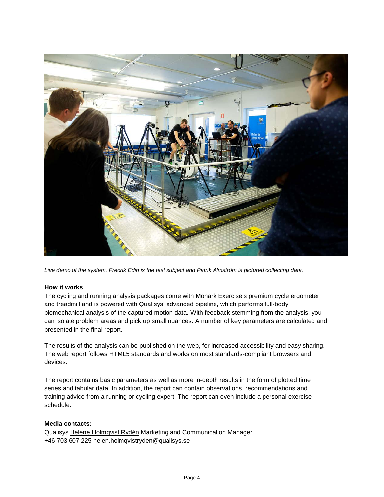

*Live demo of the system. Fredrik Edin is the test subject and Patrik Almström is pictured collecting data.*

#### **How it works**

The cycling and running analysis packages come with Monark Exercise's premium cycle ergometer and treadmill and is powered with Qualisys' advanced pipeline, which performs full-body biomechanical analysis of the captured motion data. With feedback stemming from the analysis, you can isolate problem areas and pick up small nuances. A number of key parameters are calculated and presented in the final report.

The results of the analysis can be published on the web, for increased accessibility and easy sharing. The web report follows HTML5 standards and works on most standards-compliant browsers and devices.

The report contains basic parameters as well as more in-depth results in the form of plotted time series and tabular data. In addition, the report can contain observations, recommendations and training advice from a running or cycling expert. The report can even include a personal exercise schedule.

## **Media contacts:**

Qualisys [Helene Holmqvist Rydén](https://www.mynewsdesk.com/qualisys/contact_people/helene-holmqvist-ryden-marketing-and-communication-manager-56450) Marketing and Communication Manager +46 703 607 225 [helen.holmqvistryden@qualisys.se](mailto:helen.holmqvistryden@qualisys.se)